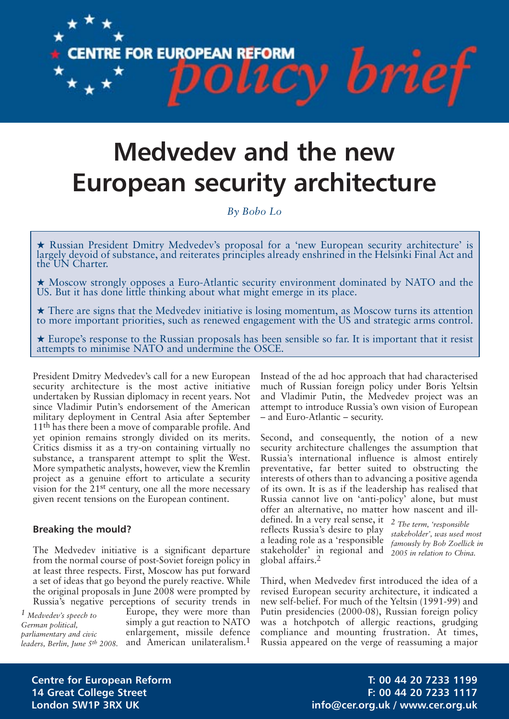

**CENTRE FOR EUROPEAN REFORM** 

*By Bobo Lo*

**★** Russian President Dmitry Medvedev's proposal for a 'new European security architecture' is largely devoid of substance, and reiterates principles already enshrined in the Helsinki Final Act and the UN Charter.

**★** Moscow strongly opposes a Euro-Atlantic security environment dominated by NATO and the US. But it has done little thinking about what might emerge in its place.

**★** There are signs that the Medvedev initiative is losing momentum, as Moscow turns its attention to more important priorities, such as renewed engagement with the US and strategic arms control.

**★** Europe's response to the Russian proposals has been sensible so far. It is important that it resist attempts to minimise NATO and undermine the OSCE.

global affairs.2

President Dmitry Medvedev's call for a new European security architecture is the most active initiative undertaken by Russian diplomacy in recent years. Not since Vladimir Putin's endorsement of the American military deployment in Central Asia after September 11<sup>th</sup> has there been a move of comparable profile. And yet opinion remains strongly divided on its merits. Critics dismiss it as a try-on containing virtually no substance, a transparent attempt to split the West. More sympathetic analysts, however, view the Kremlin project as a genuine effort to articulate a security vision for the 21st century, one all the more necessary given recent tensions on the European continent.

## **Breaking the mould?**

The Medvedev initiative is a significant departure from the normal course of post-Soviet foreign policy in at least three respects. First, Moscow has put forward a set of ideas that go beyond the purely reactive. While the original proposals in June 2008 were prompted by Russia's negative perceptions of security trends in

*1 Medvedev's speech to German political, parliamentary and civic*

Europe, they were more than simply a gut reaction to NATO enlargement, missile defence *leaders, Berlin, June 5<sup>th</sup> 2008.* and American unilateralism.<sup>1</sup>

Instead of the ad hoc approach that had characterised much of Russian foreign policy under Boris Yeltsin and Vladimir Putin, the Medvedev project was an attempt to introduce Russia's own vision of European – and Euro-Atlantic – security.

cy brief

Second, and consequently, the notion of a new security architecture challenges the assumption that Russia's international influence is almost entirely preventative, far better suited to obstructing the interests of others than to advancing a positive agenda of its own. It is as if the leadership has realised that Russia cannot live on 'anti-policy' alone, but must offer an alternative, no matter how nascent and illdefined. In a very real sense, it *2 The term, 'responsible* reflects Russia's desire to play a leading role as a 'responsible stakeholder' in regional and *stakeholder', was used most famously by Bob Zoellick in*

Third, when Medvedev first introduced the idea of a revised European security architecture, it indicated a new self-belief. For much of the Yeltsin (1991-99) and Putin presidencies (2000-08), Russian foreign policy was a hotchpotch of allergic reactions, grudging compliance and mounting frustration. At times, Russia appeared on the verge of reassuming a major

**Centre for European Reform T: 00 44 20 7233 1199 14 Great College Street F: 00 44 20 7233 1117 London SW1P 3RX UK info@cer.org.uk / www.cer.org.uk**

*2005 in relation to China.*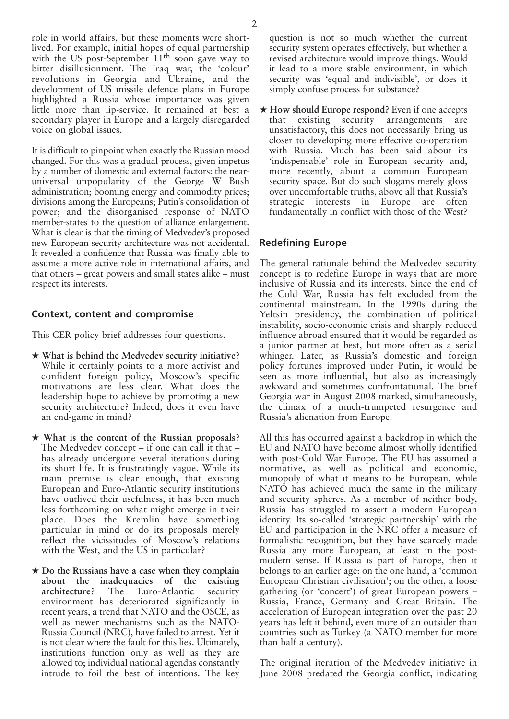role in world affairs, but these moments were shortlived. For example, initial hopes of equal partnership with the US post-September 11<sup>th</sup> soon gave way to bitter disillusionment. The Iraq war, the 'colour' revolutions in Georgia and Ukraine, and the development of US missile defence plans in Europe highlighted a Russia whose importance was given little more than lip-service. It remained at best a secondary player in Europe and a largely disregarded voice on global issues.

It is difficult to pinpoint when exactly the Russian mood changed. For this was a gradual process, given impetus by a number of domestic and external factors: the nearuniversal unpopularity of the George W Bush administration; booming energy and commodity prices; divisions among the Europeans; Putin's consolidation of power; and the disorganised response of NATO member-states to the question of alliance enlargement. What is clear is that the timing of Medvedev's proposed new European security architecture was not accidental. It revealed a confidence that Russia was finally able to assume a more active role in international affairs, and that others – great powers and small states alike – must respect its interests.

# **Context, content and compromise**

This CER policy brief addresses four questions.

- **★ What is behind the Medvedev security initiative?** While it certainly points to a more activist and confident foreign policy, Moscow's specific motivations are less clear. What does the leadership hope to achieve by promoting a new security architecture? Indeed, does it even have an end-game in mind?
- **★ What is the content of the Russian proposals?** The Medvedev concept – if one can call it that – has already undergone several iterations during its short life. It is frustratingly vague. While its main premise is clear enough, that existing European and Euro-Atlantic security institutions have outlived their usefulness, it has been much less forthcoming on what might emerge in their place. Does the Kremlin have something particular in mind or do its proposals merely reflect the vicissitudes of Moscow's relations with the West, and the US in particular?
- **★ Do the Russians have a case when they complain about the inadequacies of the existing architecture?** The Euro-Atlantic security environment has deteriorated significantly in recent years, a trend that NATO and the OSCE, as well as newer mechanisms such as the NATO-Russia Council (NRC), have failed to arrest. Yet it is not clear where the fault for this lies. Ultimately, institutions function only as well as they are allowed to; individual national agendas constantly intrude to foil the best of intentions. The key

question is not so much whether the current security system operates effectively, but whether a revised architecture would improve things. Would it lead to a more stable environment, in which security was 'equal and indivisible', or does it simply confuse process for substance?

**★ How should Europe respond?** Even if one accepts that existing security arrangements are unsatisfactory, this does not necessarily bring us closer to developing more effective co-operation with Russia. Much has been said about its 'indispensable' role in European security and, more recently, about a common European security space. But do such slogans merely gloss over uncomfortable truths, above all that Russia's strategic interests in Europe are often fundamentally in conflict with those of the West?

# **Redefining Europe**

The general rationale behind the Medvedev security concept is to redefine Europe in ways that are more inclusive of Russia and its interests. Since the end of the Cold War, Russia has felt excluded from the continental mainstream. In the 1990s during the Yeltsin presidency, the combination of political instability, socio-economic crisis and sharply reduced influence abroad ensured that it would be regarded as a junior partner at best, but more often as a serial whinger. Later, as Russia's domestic and foreign policy fortunes improved under Putin, it would be seen as more influential, but also as increasingly awkward and sometimes confrontational. The brief Georgia war in August 2008 marked, simultaneously, the climax of a much-trumpeted resurgence and Russia's alienation from Europe.

All this has occurred against a backdrop in which the EU and NATO have become almost wholly identified with post-Cold War Europe. The EU has assumed a normative, as well as political and economic, monopoly of what it means to be European, while NATO has achieved much the same in the military and security spheres. As a member of neither body, Russia has struggled to assert a modern European identity. Its so-called 'strategic partnership' with the EU and participation in the NRC offer a measure of formalistic recognition, but they have scarcely made Russia any more European, at least in the postmodern sense. If Russia is part of Europe, then it belongs to an earlier age: on the one hand, a 'common European Christian civilisation'; on the other, a loose gathering (or 'concert') of great European powers – Russia, France, Germany and Great Britain. The acceleration of European integration over the past 20 years has left it behind, even more of an outsider than countries such as Turkey (a NATO member for more than half a century).

The original iteration of the Medvedev initiative in June 2008 predated the Georgia conflict, indicating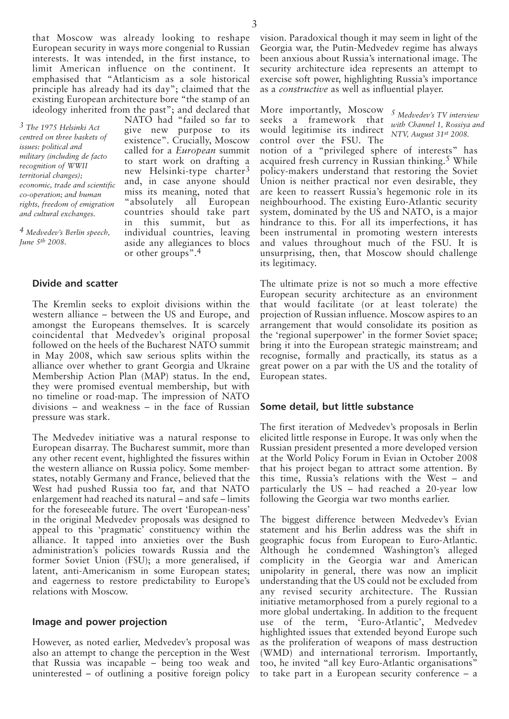that Moscow was already looking to reshape European security in ways more congenial to Russian interests. It was intended, in the first instance, to limit American influence on the continent. It emphasised that "Atlanticism as a sole historical principle has already had its day"; claimed that the existing European architecture bore "the stamp of an ideology inherited from the past"; and declared that

NATO had "failed so far to give new purpose to its existence". Crucially, Moscow called for a *European* summit to start work on drafting a new Helsinki-type charter<sup>3</sup> and, in case anyone should miss its meaning, noted that "absolutely all European countries should take part in this summit, but as individual countries, leaving aside any allegiances to blocs

*3 The 1975 Helsinki Act centred on three baskets of issues: political and military (including de facto recognition of WWII territorial changes); economic, trade and scientific co-operation; and human rights, freedom of emigration and cultural exchanges.*

*4 Medvedev's Berlin speech, June 5th 2008.*

**Divide and scatter**

The Kremlin seeks to exploit divisions within the western alliance – between the US and Europe, and amongst the Europeans themselves. It is scarcely coincidental that Medvedev's original proposal followed on the heels of the Bucharest NATO summit in May 2008, which saw serious splits within the alliance over whether to grant Georgia and Ukraine Membership Action Plan (MAP) status. In the end, they were promised eventual membership, but with no timeline or road-map. The impression of NATO divisions – and weakness – in the face of Russian pressure was stark.

or other groups".4

The Medvedev initiative was a natural response to European disarray. The Bucharest summit, more than any other recent event, highlighted the fissures within the western alliance on Russia policy. Some memberstates, notably Germany and France, believed that the West had pushed Russia too far, and that NATO enlargement had reached its natural – and safe – limits for the foreseeable future. The overt 'European-ness' in the original Medvedev proposals was designed to appeal to this 'pragmatic' constituency within the alliance. It tapped into anxieties over the Bush administration's policies towards Russia and the former Soviet Union (FSU); a more generalised, if latent, anti-Americanism in some European states; and eagerness to restore predictability to Europe's relations with Moscow.

#### **Image and power projection**

However, as noted earlier, Medvedev's proposal was also an attempt to change the perception in the West that Russia was incapable – being too weak and uninterested – of outlining a positive foreign policy vision. Paradoxical though it may seem in light of the Georgia war, the Putin-Medvedev regime has always been anxious about Russia's international image. The security architecture idea represents an attempt to exercise soft power, highlighting Russia's importance as a *constructive* as well as influential player.

More importantly, Moscow seeks a framework that would legitimise its indirect control over the FSU. The

*5 Medvedev's TV interview with Channel 1, Rossiya and NTV, August 31st 2008.*

notion of a "privileged sphere of interests" has acquired fresh currency in Russian thinking.<sup>5</sup> While policy-makers understand that restoring the Soviet Union is neither practical nor even desirable, they are keen to reassert Russia's hegemonic role in its neighbourhood. The existing Euro-Atlantic security system, dominated by the US and NATO, is a major hindrance to this. For all its imperfections, it has been instrumental in promoting western interests and values throughout much of the FSU. It is unsurprising, then, that Moscow should challenge its legitimacy.

The ultimate prize is not so much a more effective European security architecture as an environment that would facilitate (or at least tolerate) the projection of Russian influence. Moscow aspires to an arrangement that would consolidate its position as the 'regional superpower' in the former Soviet space; bring it into the European strategic mainstream; and recognise, formally and practically, its status as a great power on a par with the US and the totality of European states.

#### **Some detail, but little substance**

The first iteration of Medvedev's proposals in Berlin elicited little response in Europe. It was only when the Russian president presented a more developed version at the World Policy Forum in Evian in October 2008 that his project began to attract some attention. By this time, Russia's relations with the West – and particularly the US – had reached a 20-year low following the Georgia war two months earlier.

The biggest difference between Medvedev's Evian statement and his Berlin address was the shift in geographic focus from European to Euro-Atlantic. Although he condemned Washington's alleged complicity in the Georgia war and American unipolarity in general, there was now an implicit understanding that the US could not be excluded from any revised security architecture. The Russian initiative metamorphosed from a purely regional to a more global undertaking. In addition to the frequent use of the term, 'Euro-Atlantic', Medvedev highlighted issues that extended beyond Europe such as the proliferation of weapons of mass destruction (WMD) and international terrorism. Importantly, too, he invited "all key Euro-Atlantic organisations" to take part in a European security conference – a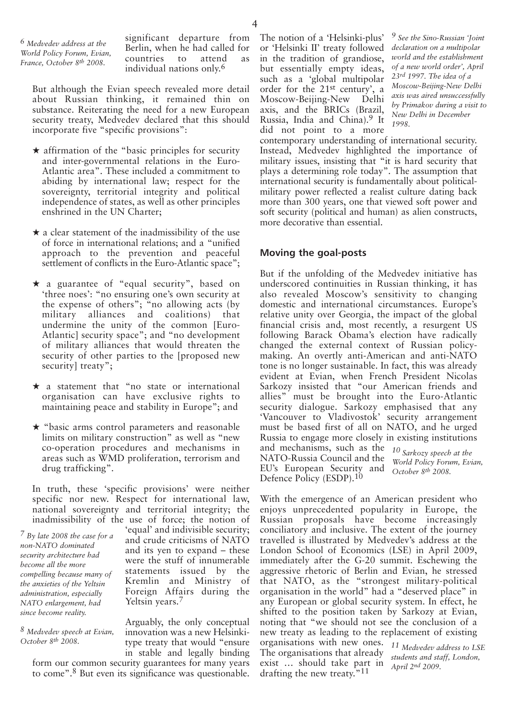*6 Medvedev address at the World Policy Forum, Evian, France, October 8th 2008.*

significant departure from Berlin, when he had called for countries to attend as individual nations only.6

But although the Evian speech revealed more detail about Russian thinking, it remained thin on substance. Reiterating the need for a new European security treaty, Medvedev declared that this should incorporate five "specific provisions":

- **★** affirmation of the "basic principles for security and inter-governmental relations in the Euro-Atlantic area". These included a commitment to abiding by international law; respect for the sovereignty, territorial integrity and political independence of states, as well as other principles enshrined in the UN Charter;
- **★** a clear statement of the inadmissibility of the use of force in international relations; and a "unified approach to the prevention and peaceful settlement of conflicts in the Euro-Atlantic space";
- **★** a guarantee of "equal security", based on 'three noes': "no ensuring one's own security at the expense of others"; "no allowing acts (by military alliances and coalitions) that undermine the unity of the common [Euro-Atlantic] security space"; and "no development of military alliances that would threaten the security of other parties to the [proposed new security] treaty";
- **★** a statement that "no state or international organisation can have exclusive rights to maintaining peace and stability in Europe"; and
- **★** "basic arms control parameters and reasonable limits on military construction" as well as "new co-operation procedures and mechanisms in areas such as WMD proliferation, terrorism and drug trafficking".

In truth, these 'specific provisions' were neither specific nor new. Respect for international law, national sovereignty and territorial integrity; the inadmissibility of the use of force; the notion of

*7 By late 2008 the case for a non-NATO dominated security architecture had become all the more compelling because many of the anxieties of the Yeltsin administration, especially NATO enlargement, had since become reality.*

'equal' and indivisible security; and crude criticisms of NATO and its yen to expand – these were the stuff of innumerable statements issued by the Kremlin and Ministry of Foreign Affairs during the Yeltsin years.7

*8 Medvedev speech at Evian, October 8th 2008.*

Arguably, the only conceptual innovation was a new Helsinkitype treaty that would "ensure in stable and legally binding form our common security guarantees for many years to come". 8 But even its significance was questionable.

The notion of a 'Helsinki-plus' or 'Helsinki II' treaty followed in the tradition of grandiose, but essentially empty ideas, such as a 'global multipolar order for the 21st century', a Moscow-Beijing-New Delhi axis, and the BRICs (Brazil, Russia, India and China). 9 It did not point to a more

*9 See the Sino-Russian 'Joint declaration on a multipolar world and the establishment of a new world order', April 23rd 1997. The idea of a Moscow-Beijing-New Delhi axis was aired unsuccessfully by Primakov during a visit to New Delhi in December 1998.*

contemporary understanding of international security. Instead, Medvedev highlighted the importance of military issues, insisting that "it is hard security that plays a determining role today". The assumption that international security is fundamentally about politicalmilitary power reflected a realist culture dating back more than 300 years, one that viewed soft power and soft security (political and human) as alien constructs, more decorative than essential.

# **Moving the goal-posts**

But if the unfolding of the Medvedev initiative has underscored continuities in Russian thinking, it has also revealed Moscow's sensitivity to changing domestic and international circumstances. Europe's relative unity over Georgia, the impact of the global financial crisis and, most recently, a resurgent US following Barack Obama's election have radically changed the external context of Russian policymaking. An overtly anti-American and anti-NATO tone is no longer sustainable. In fact, this was already evident at Evian, when French President Nicolas Sarkozy insisted that "our American friends and allies" must be brought into the Euro-Atlantic security dialogue. Sarkozy emphasised that any 'Vancouver to Vladivostok' security arrangement must be based first of all on NATO, and he urged Russia to engage more closely in existing institutions and mechanisms, such as the *10 Sarkozy speech at the* NATO-Russia Council and the EU's European Security and Defence Policy (ESDP).<sup>10</sup> *World Policy Forum, Evian, October 8th 2008.*

With the emergence of an American president who enjoys unprecedented popularity in Europe, the Russian proposals have become increasingly conciliatory and inclusive. The extent of the journey travelled is illustrated by Medvedev's address at the London School of Economics (LSE) in April 2009, immediately after the G-20 summit. Eschewing the aggressive rhetoric of Berlin and Evian, he stressed that NATO, as the "strongest military-political organisation in the world" had a "deserved place" in any European or global security system. In effect, he shifted to the position taken by Sarkozy at Evian, noting that "we should not see the conclusion of a new treaty as leading to the replacement of existing

organisations with new ones. *11 Medvedev address to LSE* The organisations that already exist … should take part in drafting the new treaty.<sup>"11</sup>

*students and staff, London, April 2nd 2009.*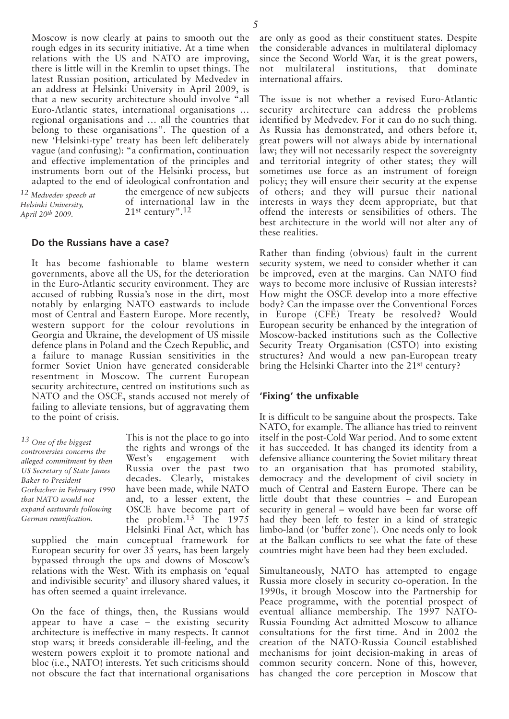Moscow is now clearly at pains to smooth out the rough edges in its security initiative. At a time when relations with the US and NATO are improving, there is little will in the Kremlin to upset things. The latest Russian position, articulated by Medvedev in an address at Helsinki University in April 2009, is that a new security architecture should involve "all Euro-Atlantic states, international organisations … regional organisations and … all the countries that belong to these organisations". The question of a new 'Helsinki-type' treaty has been left deliberately vague (and confusing): "a confirmation, continuation and effective implementation of the principles and instruments born out of the Helsinki process, but adapted to the end of ideological confrontation and

*12 Medvedev speech at Helsinki University, April 20th 2009.*

the emergence of new subjects of international law in the 21st century".12

#### **Do the Russians have a case?**

It has become fashionable to blame western governments, above all the US, for the deterioration in the Euro-Atlantic security environment. They are accused of rubbing Russia's nose in the dirt, most notably by enlarging NATO eastwards to include most of Central and Eastern Europe. More recently, western support for the colour revolutions in Georgia and Ukraine, the development of US missile defence plans in Poland and the Czech Republic, and a failure to manage Russian sensitivities in the former Soviet Union have generated considerable resentment in Moscow. The current European security architecture, centred on institutions such as NATO and the OSCE, stands accused not merely of failing to alleviate tensions, but of aggravating them to the point of crisis.

*13 One of the biggest controversies concerns the alleged commitment by then US Secretary of State James Baker to President Gorbachev in February 1990 that NATO would not expand eastwards following German reunification.*

This is not the place to go into the rights and wrongs of the West's engagement with Russia over the past two decades. Clearly, mistakes have been made, while NATO and, to a lesser extent, the OSCE have become part of the problem.<sup>13</sup> The 1975 Helsinki Final Act, which has

supplied the main conceptual framework for European security for over  $3\overline{5}$  years, has been largely bypassed through the ups and downs of Moscow's relations with the West. With its emphasis on 'equal and indivisible security' and illusory shared values, it has often seemed a quaint irrelevance.

On the face of things, then, the Russians would appear to have a case – the existing security architecture is ineffective in many respects. It cannot stop wars; it breeds considerable ill-feeling, and the western powers exploit it to promote national and bloc (i.e., NATO) interests. Yet such criticisms should not obscure the fact that international organisations

are only as good as their constituent states. Despite the considerable advances in multilateral diplomacy since the Second World War, it is the great powers, not multilateral institutions, that dominate international affairs.

The issue is not whether a revised Euro-Atlantic security architecture can address the problems identified by Medvedev. For it can do no such thing. As Russia has demonstrated, and others before it, great powers will not always abide by international law; they will not necessarily respect the sovereignty and territorial integrity of other states; they will sometimes use force as an instrument of foreign policy; they will ensure their security at the expense of others; and they will pursue their national interests in ways they deem appropriate, but that offend the interests or sensibilities of others. The best architecture in the world will not alter any of these realities.

Rather than finding (obvious) fault in the current security system, we need to consider whether it can be improved, even at the margins. Can NATO find ways to become more inclusive of Russian interests? How might the OSCE develop into a more effective body? Can the impasse over the Conventional Forces in Europe (CFE) Treaty be resolved? Would European security be enhanced by the integration of Moscow-backed institutions such as the Collective Security Treaty Organisation (CSTO) into existing structures? And would a new pan-European treaty bring the Helsinki Charter into the 21st century?

## **'Fixing' the unfixable**

It is difficult to be sanguine about the prospects. Take NATO, for example. The alliance has tried to reinvent itself in the post-Cold War period. And to some extent it has succeeded. It has changed its identity from a defensive alliance countering the Soviet military threat to an organisation that has promoted stability, democracy and the development of civil society in much of Central and Eastern Europe. There can be little doubt that these countries – and European security in general – would have been far worse off had they been left to fester in a kind of strategic limbo-land (or 'buffer zone'). One needs only to look at the Balkan conflicts to see what the fate of these countries might have been had they been excluded.

Simultaneously, NATO has attempted to engage Russia more closely in security co-operation. In the 1990s, it brough Moscow into the Partnership for Peace programme, with the potential prospect of eventual alliance membership. The 1997 NATO-Russia Founding Act admitted Moscow to alliance consultations for the first time. And in 2002 the creation of the NATO-Russia Council established mechanisms for joint decision-making in areas of common security concern. None of this, however, has changed the core perception in Moscow that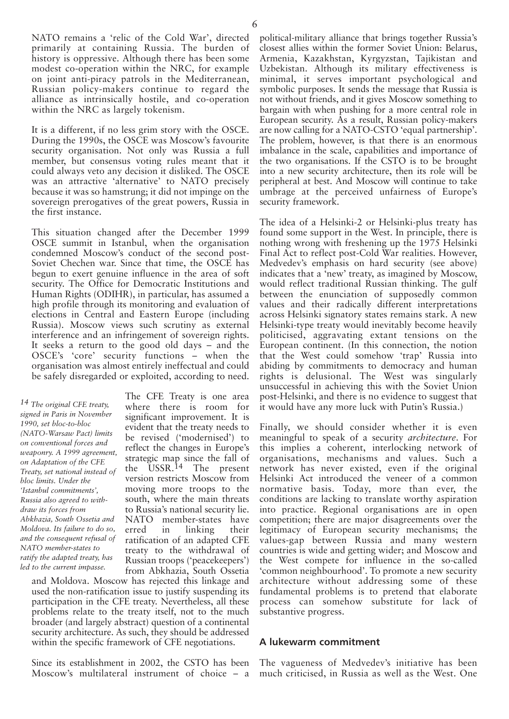NATO remains a 'relic of the Cold War', directed primarily at containing Russia. The burden of history is oppressive. Although there has been some modest co-operation within the NRC, for example on joint anti-piracy patrols in the Mediterranean, Russian policy-makers continue to regard the alliance as intrinsically hostile, and co-operation within the NRC as largely tokenism.

It is a different, if no less grim story with the OSCE. During the 1990s, the OSCE was Moscow's favourite security organisation. Not only was Russia a full member, but consensus voting rules meant that it could always veto any decision it disliked. The OSCE was an attractive 'alternative' to NATO precisely because it was so hamstrung; it did not impinge on the sovereign prerogatives of the great powers, Russia in the first instance.

This situation changed after the December 1999 OSCE summit in Istanbul, when the organisation condemned Moscow's conduct of the second post-Soviet Chechen war. Since that time, the OSCE has begun to exert genuine influence in the area of soft security. The Office for Democratic Institutions and Human Rights (ODIHR), in particular, has assumed a high profile through its monitoring and evaluation of elections in Central and Eastern Europe (including Russia). Moscow views such scrutiny as external interference and an infringement of sovereign rights. It seeks a return to the good old days – and the OSCE's 'core' security functions – when the organisation was almost entirely ineffectual and could be safely disregarded or exploited, according to need.

*14 The original CFE treaty, signed in Paris in November 1990, set bloc-to-bloc (NATO-Warsaw Pact) limits on conventional forces and weaponry. A 1999 agreement, on Adaptation of the CFE Treaty, set national instead of bloc limits. Under the 'Istanbul commitments', Russia also agreed to withdraw its forces from Abkhazia, South Ossetia and Moldova. Its failure to do so, and the consequent refusal of NATO member-states to ratify the adapted treaty, has led to the current impasse.*

The CFE Treaty is one area where there is room for significant improvement. It is evident that the treaty needs to be revised ('modernised') to reflect the changes in Europe's strategic map since the fall of the USSR.<sup>14</sup> The present version restricts Moscow from moving more troops to the south, where the main threats to Russia's national security lie. NATO member-states have erred in linking their ratification of an adapted CFE treaty to the withdrawal of Russian troops ('peacekeepers') from Abkhazia, South Ossetia

and Moldova. Moscow has rejected this linkage and used the non-ratification issue to justify suspending its participation in the CFE treaty. Nevertheless, all these problems relate to the treaty itself, not to the much broader (and largely abstract) question of a continental security architecture. As such, they should be addressed within the specific framework of CFE negotiations.

Since its establishment in 2002, the CSTO has been Moscow's multilateral instrument of choice – a political-military alliance that brings together Russia's closest allies within the former Soviet Union: Belarus, Armenia, Kazakhstan, Kyrgyzstan, Tajikistan and Uzbekistan. Although its military effectiveness is minimal, it serves important psychological and symbolic purposes. It sends the message that Russia is not without friends, and it gives Moscow something to bargain with when pushing for a more central role in European security. As a result, Russian policy-makers are now calling for a NATO-CSTO 'equal partnership'. The problem, however, is that there is an enormous imbalance in the scale, capabilities and importance of the two organisations. If the CSTO is to be brought into a new security architecture, then its role will be peripheral at best. And Moscow will continue to take umbrage at the perceived unfairness of Europe's security framework.

The idea of a Helsinki-2 or Helsinki-plus treaty has found some support in the West. In principle, there is nothing wrong with freshening up the 1975 Helsinki Final Act to reflect post-Cold War realities. However, Medvedev's emphasis on hard security (see above) indicates that a 'new' treaty, as imagined by Moscow, would reflect traditional Russian thinking. The gulf between the enunciation of supposedly common values and their radically different interpretations across Helsinki signatory states remains stark. A new Helsinki-type treaty would inevitably become heavily politicised, aggravating extant tensions on the European continent. (In this connection, the notion that the West could somehow 'trap' Russia into abiding by commitments to democracy and human rights is delusional. The West was singularly unsuccessful in achieving this with the Soviet Union post-Helsinki, and there is no evidence to suggest that it would have any more luck with Putin's Russia.)

Finally, we should consider whether it is even meaningful to speak of a security *architecture*. For this implies a coherent, interlocking network of organisations, mechanisms and values. Such a network has never existed, even if the original Helsinki Act introduced the veneer of a common normative basis. Today, more than ever, the conditions are lacking to translate worthy aspiration into practice. Regional organisations are in open competition; there are major disagreements over the legitimacy of European security mechanisms; the values-gap between Russia and many western countries is wide and getting wider; and Moscow and the West compete for influence in the so-called 'common neighbourhood'. To promote a new security architecture without addressing some of these fundamental problems is to pretend that elaborate process can somehow substitute for lack of substantive progress.

## **A lukewarm commitment**

The vagueness of Medvedev's initiative has been much criticised, in Russia as well as the West. One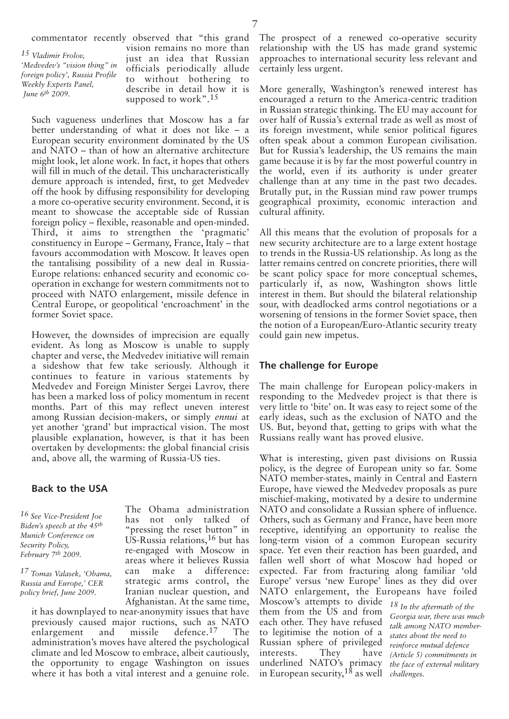commentator recently observed that "this grand

*15 Vladimir Frolov, 'Medvedev's "vision thing" in foreign policy', Russia Profile Weekly Experts Panel, June 6th 2009.*

vision remains no more than just an idea that Russian officials periodically allude to without bothering to describe in detail how it is supposed to work".<sup>15</sup>

Such vagueness underlines that Moscow has a far better understanding of what it does not like – a European security environment dominated by the US and NATO – than of how an alternative architecture might look, let alone work. In fact, it hopes that others will fill in much of the detail. This uncharacteristically demure approach is intended, first, to get Medvedev off the hook by diffusing responsibility for developing a more co-operative security environment. Second, it is meant to showcase the acceptable side of Russian foreign policy – flexible, reasonable and open-minded. Third, it aims to strengthen the 'pragmatic' constituency in Europe – Germany, France, Italy – that favours accommodation with Moscow. It leaves open the tantalising possibility of a new deal in Russia-Europe relations: enhanced security and economic cooperation in exchange for western commitments not to proceed with NATO enlargement, missile defence in Central Europe, or geopolitical 'encroachment' in the former Soviet space.

However, the downsides of imprecision are equally evident. As long as Moscow is unable to supply chapter and verse, the Medvedev initiative will remain a sideshow that few take seriously. Although it continues to feature in various statements by Medvedev and Foreign Minister Sergei Lavrov, there has been a marked loss of policy momentum in recent months. Part of this may reflect uneven interest among Russian decision-makers, or simply *ennui* at yet another 'grand' but impractical vision. The most plausible explanation, however, is that it has been overtaken by developments: the global financial crisis and, above all, the warming of Russia-US ties.

## **Back to the USA**

*16 See Vice-President Joe Biden's speech at the 45th Munich Conference on Security Policy, February 7th 2009.*

*17 Tomas Valasek, 'Obama, Russia and Europe,' CER policy brief, June 2009.*

The Obama administration has not only talked of "pressing the reset button" in US-Russia relations,16 but has re-engaged with Moscow in areas where it believes Russia can make a difference: strategic arms control, the Iranian nuclear question, and Afghanistan. At the same time,

it has downplayed to near-anonymity issues that have previously caused major ructions, such as NATO<br>enlargement and missile defence.<sup>17</sup> The enlargement and missile defence.17 The administration's moves have altered the psychological climate and led Moscow to embrace, albeit cautiously, the opportunity to engage Washington on issues where it has both a vital interest and a genuine role.

The prospect of a renewed co-operative security relationship with the US has made grand systemic approaches to international security less relevant and certainly less urgent.

More generally, Washington's renewed interest has encouraged a return to the America-centric tradition in Russian strategic thinking. The EU may account for over half of Russia's external trade as well as most of its foreign investment, while senior political figures often speak about a common European civilisation. But for Russia's leadership, the US remains the main game because it is by far the most powerful country in the world, even if its authority is under greater challenge than at any time in the past two decades. Brutally put, in the Russian mind raw power trumps geographical proximity, economic interaction and cultural affinity.

All this means that the evolution of proposals for a new security architecture are to a large extent hostage to trends in the Russia-US relationship. As long as the latter remains centred on concrete priorities, there will be scant policy space for more conceptual schemes, particularly if, as now, Washington shows little interest in them. But should the bilateral relationship sour, with deadlocked arms control negotiations or a worsening of tensions in the former Soviet space, then the notion of a European/Euro-Atlantic security treaty could gain new impetus.

# **The challenge for Europe**

The main challenge for European policy-makers in responding to the Medvedev project is that there is very little to 'bite' on. It was easy to reject some of the early ideas, such as the exclusion of NATO and the US. But, beyond that, getting to grips with what the Russians really want has proved elusive.

What is interesting, given past divisions on Russia policy, is the degree of European unity so far. Some NATO member-states, mainly in Central and Eastern Europe, have viewed the Medvedev proposals as pure mischief-making, motivated by a desire to undermine NATO and consolidate a Russian sphere of influence. Others, such as Germany and France, have been more receptive, identifying an opportunity to realise the long-term vision of a common European security space. Yet even their reaction has been guarded, and fallen well short of what Moscow had hoped or expected. Far from fracturing along familiar 'old Europe' versus 'new Europe' lines as they did over NATO enlargement, the Europeans have foiled Moscow's attempts to divide them from the US and from each other. They have refused to legitimise the notion of a Russian sphere of privileged interests. They have underlined NATO's primacy in European security,18 as well *challenges.18 In the aftermath of the Georgia war, there was much talk among NATO memberstates about the need to reinforce mutual defence (Article 5) commitments in the face of external military*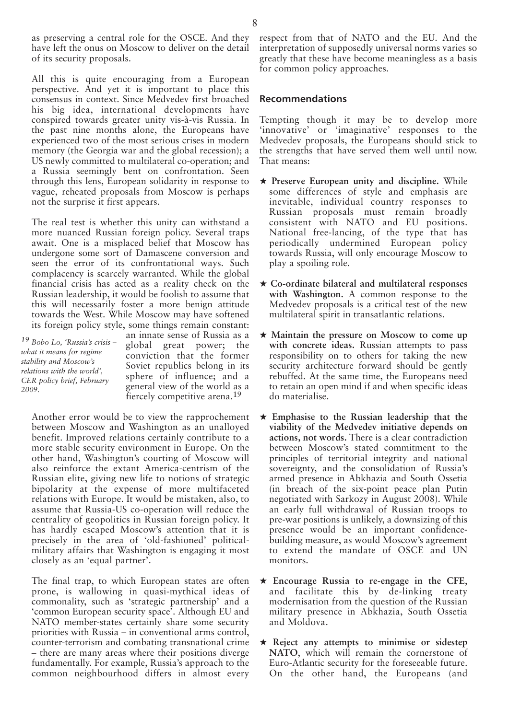as preserving a central role for the OSCE. And they have left the onus on Moscow to deliver on the detail of its security proposals.

All this is quite encouraging from a European perspective. And yet it is important to place this consensus in context. Since Medvedev first broached his big idea, international developments have conspired towards greater unity vis-à-vis Russia. In the past nine months alone, the Europeans have experienced two of the most serious crises in modern memory (the Georgia war and the global recession); a US newly committed to multilateral co-operation; and a Russia seemingly bent on confrontation. Seen through this lens, European solidarity in response to vague, reheated proposals from Moscow is perhaps not the surprise it first appears.

The real test is whether this unity can withstand a more nuanced Russian foreign policy. Several traps await. One is a misplaced belief that Moscow has undergone some sort of Damascene conversion and seen the error of its confrontational ways. Such complacency is scarcely warranted. While the global financial crisis has acted as a reality check on the Russian leadership, it would be foolish to assume that this will necessarily foster a more benign attitude towards the West. While Moscow may have softened its foreign policy style, some things remain constant:

*19 Bobo Lo, 'Russia's crisis – what it means for regime stability and Moscow's relations with the world', CER policy brief, February 2009.*

an innate sense of Russia as a global great power; the conviction that the former Soviet republics belong in its sphere of influence; and a general view of the world as a fiercely competitive arena.19

Another error would be to view the rapprochement between Moscow and Washington as an unalloyed benefit. Improved relations certainly contribute to a more stable security environment in Europe. On the other hand, Washington's courting of Moscow will also reinforce the extant America-centrism of the Russian elite, giving new life to notions of strategic bipolarity at the expense of more multifaceted relations with Europe. It would be mistaken, also, to assume that Russia-US co-operation will reduce the centrality of geopolitics in Russian foreign policy. It has hardly escaped Moscow's attention that it is precisely in the area of 'old-fashioned' politicalmilitary affairs that Washington is engaging it most closely as an 'equal partner'.

The final trap, to which European states are often prone, is wallowing in quasi-mythical ideas of commonality, such as 'strategic partnership' and a 'common European security space'. Although EU and NATO member-states certainly share some security priorities with Russia – in conventional arms control, counter-terrorism and combating transnational crime – there are many areas where their positions diverge fundamentally. For example, Russia's approach to the common neighbourhood differs in almost every respect from that of NATO and the EU. And the interpretation of supposedly universal norms varies so greatly that these have become meaningless as a basis for common policy approaches.

#### **Recommendations**

Tempting though it may be to develop more 'innovative' or 'imaginative' responses to the Medvedev proposals, the Europeans should stick to the strengths that have served them well until now. That means:

- **★ Preserve European unity and discipline.** While some differences of style and emphasis are inevitable, individual country responses to Russian proposals must remain broadly consistent with NATO and EU positions. National free-lancing, of the type that has periodically undermined European policy towards Russia, will only encourage Moscow to play a spoiling role.
- **★ Co-ordinate bilateral and multilateral responses with Washington.** A common response to the Medvedev proposals is a critical test of the new multilateral spirit in transatlantic relations.
- **★ Maintain the pressure on Moscow to come up with concrete ideas.** Russian attempts to pass responsibility on to others for taking the new security architecture forward should be gently rebuffed. At the same time, the Europeans need to retain an open mind if and when specific ideas do materialise.
- **★ Emphasise to the Russian leadership that the viability of the Medvedev initiative depends on actions, not words.** There is a clear contradiction between Moscow's stated commitment to the principles of territorial integrity and national sovereignty, and the consolidation of Russia's armed presence in Abkhazia and South Ossetia (in breach of the six-point peace plan Putin negotiated with Sarkozy in August 2008). While an early full withdrawal of Russian troops to pre-war positions is unlikely, a downsizing of this presence would be an important confidencebuilding measure, as would Moscow's agreement to extend the mandate of OSCE and UN monitors.
- **★ Encourage Russia to re-engage in the CFE**, and facilitate this by de-linking treaty modernisation from the question of the Russian military presence in Abkhazia, South Ossetia and Moldova.
- **★ Reject any attempts to minimise or sidestep NATO**, which will remain the cornerstone of Euro-Atlantic security for the foreseeable future. On the other hand, the Europeans (and